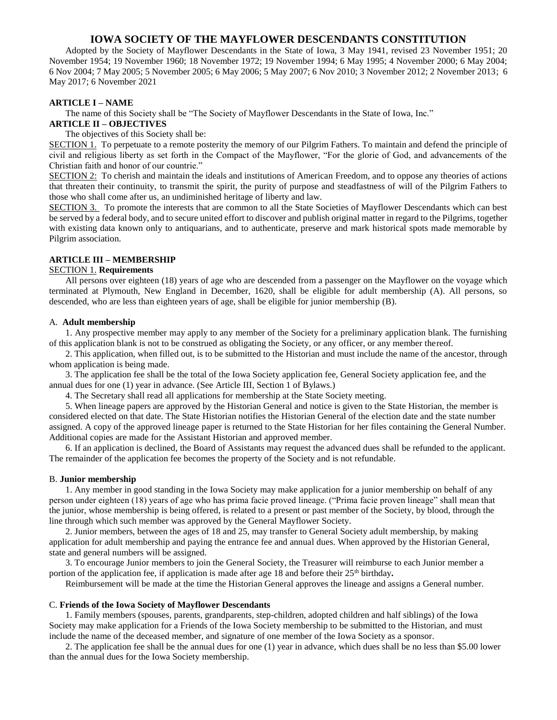# **IOWA SOCIETY OF THE MAYFLOWER DESCENDANTS CONSTITUTION**

Adopted by the Society of Mayflower Descendants in the State of Iowa, 3 May 1941, revised 23 November 1951; 20 November 1954; 19 November 1960; 18 November 1972; 19 November 1994; 6 May 1995; 4 November 2000; 6 May 2004; 6 Nov 2004; 7 May 2005; 5 November 2005; 6 May 2006; 5 May 2007; 6 Nov 2010; 3 November 2012; 2 November 2013; 6 May 2017; 6 November 2021

#### **ARTICLE I – NAME**

The name of this Society shall be "The Society of Mayflower Descendants in the State of Iowa, Inc." **ARTICLE II – OBJECTIVES**

The objectives of this Society shall be:

SECTION 1. To perpetuate to a remote posterity the memory of our Pilgrim Fathers. To maintain and defend the principle of civil and religious liberty as set forth in the Compact of the Mayflower, "For the glorie of God, and advancements of the Christian faith and honor of our countrie."

SECTION 2: To cherish and maintain the ideals and institutions of American Freedom, and to oppose any theories of actions that threaten their continuity, to transmit the spirit, the purity of purpose and steadfastness of will of the Pilgrim Fathers to those who shall come after us, an undiminished heritage of liberty and law.

SECTION 3. To promote the interests that are common to all the State Societies of Mayflower Descendants which can best be served by a federal body, and to secure united effort to discover and publish original matter in regard to the Pilgrims, together with existing data known only to antiquarians, and to authenticate, preserve and mark historical spots made memorable by Pilgrim association.

# **ARTICLE III – MEMBERSHIP**

# SECTION 1. **Requirements**

All persons over eighteen (18) years of age who are descended from a passenger on the Mayflower on the voyage which terminated at Plymouth, New England in December, 1620, shall be eligible for adult membership (A). All persons, so descended, who are less than eighteen years of age, shall be eligible for junior membership (B).

### A. **Adult membership**

1. Any prospective member may apply to any member of the Society for a preliminary application blank. The furnishing of this application blank is not to be construed as obligating the Society, or any officer, or any member thereof.

2. This application, when filled out, is to be submitted to the Historian and must include the name of the ancestor, through whom application is being made.

3. The application fee shall be the total of the Iowa Society application fee, General Society application fee, and the annual dues for one (1) year in advance. (See Article III, Section 1 of Bylaws.)

4. The Secretary shall read all applications for membership at the State Society meeting.

5. When lineage papers are approved by the Historian General and notice is given to the State Historian, the member is considered elected on that date. The State Historian notifies the Historian General of the election date and the state number assigned. A copy of the approved lineage paper is returned to the State Historian for her files containing the General Number. Additional copies are made for the Assistant Historian and approved member.

6. If an application is declined, the Board of Assistants may request the advanced dues shall be refunded to the applicant. The remainder of the application fee becomes the property of the Society and is not refundable.

#### B. **Junior membership**

1. Any member in good standing in the Iowa Society may make application for a junior membership on behalf of any person under eighteen (18) years of age who has prima facie proved lineage. ("Prima facie proven lineage" shall mean that the junior, whose membership is being offered, is related to a present or past member of the Society, by blood, through the line through which such member was approved by the General Mayflower Society.

2. Junior members, between the ages of 18 and 25, may transfer to General Society adult membership, by making application for adult membership and paying the entrance fee and annual dues. When approved by the Historian General, state and general numbers will be assigned.

3. To encourage Junior members to join the General Society, the Treasurer will reimburse to each Junior member a portion of the application fee, if application is made after age 18 and before their 25<sup>th</sup> birthday.

Reimbursement will be made at the time the Historian General approves the lineage and assigns a General number.

#### C. **Friends of the Iowa Society of Mayflower Descendants**

1. Family members (spouses, parents, grandparents, step-children, adopted children and half siblings) of the Iowa Society may make application for a Friends of the Iowa Society membership to be submitted to the Historian, and must include the name of the deceased member, and signature of one member of the Iowa Society as a sponsor.

2. The application fee shall be the annual dues for one (1) year in advance, which dues shall be no less than \$5.00 lower than the annual dues for the Iowa Society membership.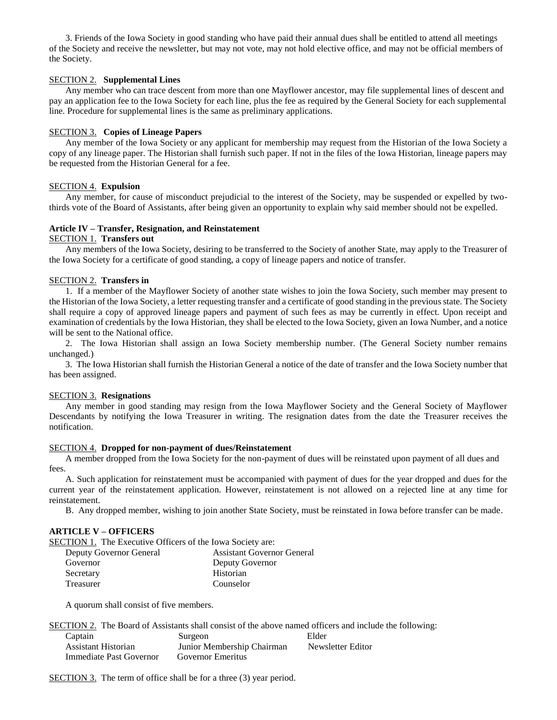3. Friends of the Iowa Society in good standing who have paid their annual dues shall be entitled to attend all meetings of the Society and receive the newsletter, but may not vote, may not hold elective office, and may not be official members of the Society.

# SECTION 2. **Supplemental Lines**

Any member who can trace descent from more than one Mayflower ancestor, may file supplemental lines of descent and pay an application fee to the Iowa Society for each line, plus the fee as required by the General Society for each supplemental line. Procedure for supplemental lines is the same as preliminary applications.

### SECTION 3. **Copies of Lineage Papers**

Any member of the Iowa Society or any applicant for membership may request from the Historian of the Iowa Society a copy of any lineage paper. The Historian shall furnish such paper. If not in the files of the Iowa Historian, lineage papers may be requested from the Historian General for a fee.

### SECTION 4. **Expulsion**

Any member, for cause of misconduct prejudicial to the interest of the Society, may be suspended or expelled by twothirds vote of the Board of Assistants, after being given an opportunity to explain why said member should not be expelled.

# **Article IV – Transfer, Resignation, and Reinstatement**

# SECTION 1. **Transfers out**

Any members of the Iowa Society, desiring to be transferred to the Society of another State, may apply to the Treasurer of the Iowa Society for a certificate of good standing, a copy of lineage papers and notice of transfer.

#### SECTION 2. **Transfers in**

1. If a member of the Mayflower Society of another state wishes to join the Iowa Society, such member may present to the Historian of the Iowa Society, a letter requesting transfer and a certificate of good standing in the previous state. The Society shall require a copy of approved lineage papers and payment of such fees as may be currently in effect. Upon receipt and examination of credentials by the Iowa Historian, they shall be elected to the Iowa Society, given an Iowa Number, and a notice will be sent to the National office.

2. The Iowa Historian shall assign an Iowa Society membership number. (The General Society number remains unchanged.)

3. The Iowa Historian shall furnish the Historian General a notice of the date of transfer and the Iowa Society number that has been assigned.

### SECTION 3. **Resignations**

Any member in good standing may resign from the Iowa Mayflower Society and the General Society of Mayflower Descendants by notifying the Iowa Treasurer in writing. The resignation dates from the date the Treasurer receives the notification.

### SECTION 4. **Dropped for non-payment of dues/Reinstatement**

A member dropped from the Iowa Society for the non-payment of dues will be reinstated upon payment of all dues and fees.

A. Such application for reinstatement must be accompanied with payment of dues for the year dropped and dues for the current year of the reinstatement application. However, reinstatement is not allowed on a rejected line at any time for reinstatement.

B. Any dropped member, wishing to join another State Society, must be reinstated in Iowa before transfer can be made.

### **ARTICLE V – OFFICERS**

SECTION 1. The Executive Officers of the Iowa Society are:

| Deputy Governor General | <b>Assistant Governor General</b> |
|-------------------------|-----------------------------------|
| Governor                | Deputy Governor                   |
| Secretary               | Historian                         |
| Treasurer               | Counselor                         |

A quorum shall consist of five members.

SECTION 2. The Board of Assistants shall consist of the above named officers and include the following:

| Captain                 | Surgeon                    | Elder             |
|-------------------------|----------------------------|-------------------|
| Assistant Historian     | Junior Membership Chairman | Newsletter Editor |
| Immediate Past Governor | Governor Emeritus          |                   |

SECTION 3. The term of office shall be for a three (3) year period.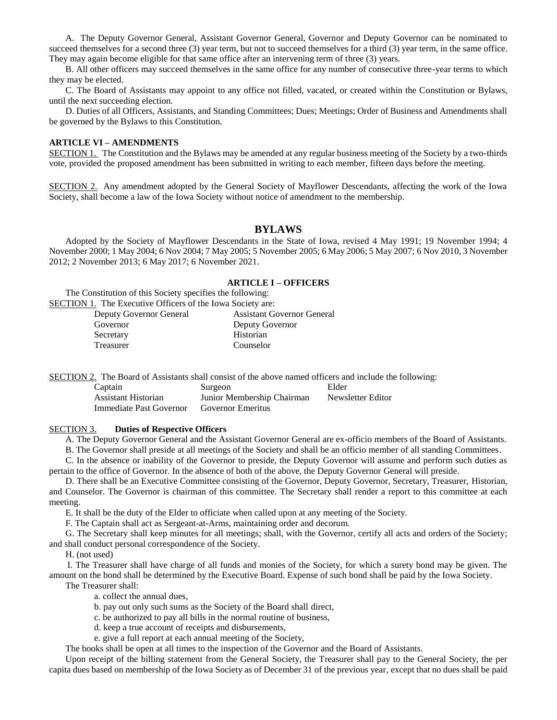A. The Deputy Governor General, Assistant Governor General, Governor and Deputy Governor can be nominated to succeed themselves for a second three (3) year term, but not to succeed themselves for a third (3) year term, in the same office. They may again become eligible for that same office after an intervening term of three (3) years.

B. All other officers may succeed themselves in the same office for any number of consecutive three-year terms to which they may be elected.

C. The Board of Assistants may appoint to any office not filled, vacated, or created within the Constitution or Bylaws, until the next succeeding election.

D. Duties of all Officers, Assistants, and Standing Committees; Dues; Meetings; Order of Business and Amendments shall be governed by the Bylaws to this Constitution.

### **ARTICLE VI – AMENDMENTS**

SECTION 1. The Constitution and the Bylaws may be amended at any regular business meeting of the Society by a two-thirds vote, provided the proposed amendment has been submitted in writing to each member, fifteen days before the meeting.

SECTION 2. Any amendment adopted by the General Society of Mayflower Descendants, affecting the work of the Iowa Society, shall become a law of the Iowa Society without notice of amendment to the membership.

# **BYLAWS**

Adopted by the Society of Mayflower Descendants in the State of Iowa, revised 4 May 1991; 19 November 1994; 4 November 2000; 1 May 2004; 6 Nov 2004; 7 May 2005; 5 November 2005; 6 May 2006; 5 May 2007; 6 Nov 2010, 3 November 2012; 2 November 2013; 6 May 2017; 6 November 2021.

#### **ARTICLE I – OFFICERS**

The Constitution of this Society specifies the following:

SECTION 1. The Executive Officers of the Iowa Society are:

| Deputy Governor General | <b>Assistant Governor General</b> |
|-------------------------|-----------------------------------|
| Governor                | Deputy Governor                   |
| Secretary               | Historian                         |
| Treasurer               | Counselor                         |

SECTION 2. The Board of Assistants shall consist of the above named officers and include the following:

| Captain                 | Surgeon                    | Elder             |
|-------------------------|----------------------------|-------------------|
| Assistant Historian     | Junior Membership Chairman | Newsletter Editor |
| Immediate Past Governor | Governor Emeritus          |                   |

#### SECTION 3. **Duties of Respective Officers**

A. The Deputy Governor General and the Assistant Governor General are ex-officio members of the Board of Assistants.

B. The Governor shall preside at all meetings of the Society and shall be an officio member of all standing Committees.

C. In the absence or inability of the Governor to preside, the Deputy Governor will assume and perform such duties as pertain to the office of Governor. In the absence of both of the above, the Deputy Governor General will preside.

D. There shall be an Executive Committee consisting of the Governor, Deputy Governor, Secretary, Treasurer, Historian, and Counselor. The Governor is chairman of this committee. The Secretary shall render a report to this committee at each meeting.

E. It shall be the duty of the Elder to officiate when called upon at any meeting of the Society.

F. The Captain shall act as Sergeant-at-Arms, maintaining order and decorum.

G. The Secretary shall keep minutes for all meetings; shall, with the Governor, certify all acts and orders of the Society; and shall conduct personal correspondence of the Society.

H. (not used)

 I. The Treasurer shall have charge of all funds and monies of the Society, for which a surety bond may be given. The amount on the bond shall be determined by the Executive Board. Expense of such bond shall be paid by the Iowa Society.

The Treasurer shall:

a. collect the annual dues,

- b. pay out only such sums as the Society of the Board shall direct,
- c. be authorized to pay all bills in the normal routine of business,
- d. keep a true account of receipts and disbursements,
- e. give a full report at each annual meeting of the Society,

The books shall be open at all times to the inspection of the Governor and the Board of Assistants.

Upon receipt of the billing statement from the General Society, the Treasurer shall pay to the General Society, the per capita dues based on membership of the Iowa Society as of December 31 of the previous year, except that no dues shall be paid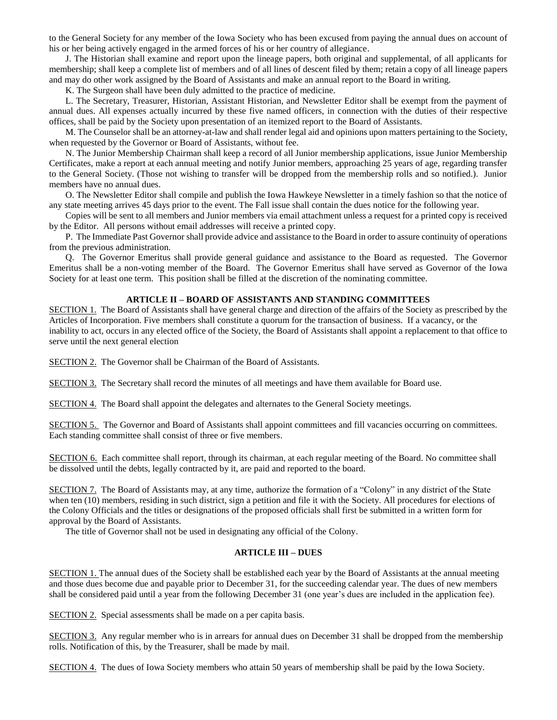to the General Society for any member of the Iowa Society who has been excused from paying the annual dues on account of his or her being actively engaged in the armed forces of his or her country of allegiance.

J. The Historian shall examine and report upon the lineage papers, both original and supplemental, of all applicants for membership; shall keep a complete list of members and of all lines of descent filed by them; retain a copy of all lineage papers and may do other work assigned by the Board of Assistants and make an annual report to the Board in writing.

K. The Surgeon shall have been duly admitted to the practice of medicine.

L. The Secretary, Treasurer, Historian, Assistant Historian, and Newsletter Editor shall be exempt from the payment of annual dues. All expenses actually incurred by these five named officers, in connection with the duties of their respective offices, shall be paid by the Society upon presentation of an itemized report to the Board of Assistants.

M. The Counselor shall be an attorney-at-law and shall render legal aid and opinions upon matters pertaining to the Society, when requested by the Governor or Board of Assistants, without fee.

N. The Junior Membership Chairman shall keep a record of all Junior membership applications, issue Junior Membership Certificates, make a report at each annual meeting and notify Junior members, approaching 25 years of age, regarding transfer to the General Society. (Those not wishing to transfer will be dropped from the membership rolls and so notified.). Junior members have no annual dues.

O. The Newsletter Editor shall compile and publish the Iowa Hawkeye Newsletter in a timely fashion so that the notice of any state meeting arrives 45 days prior to the event. The Fall issue shall contain the dues notice for the following year.

Copies will be sent to all members and Junior members via email attachment unless a request for a printed copy is received by the Editor. All persons without email addresses will receive a printed copy.

P. The Immediate Past Governor shall provide advice and assistance to the Board in order to assure continuity of operations from the previous administration.

Q. The Governor Emeritus shall provide general guidance and assistance to the Board as requested. The Governor Emeritus shall be a non-voting member of the Board. The Governor Emeritus shall have served as Governor of the Iowa Society for at least one term. This position shall be filled at the discretion of the nominating committee.

# **ARTICLE II – BOARD OF ASSISTANTS AND STANDING COMMITTEES**

SECTION 1. The Board of Assistants shall have general charge and direction of the affairs of the Society as prescribed by the Articles of Incorporation. Five members shall constitute a quorum for the transaction of business. If a vacancy, or the inability to act, occurs in any elected office of the Society, the Board of Assistants shall appoint a replacement to that office to serve until the next general election

SECTION 2. The Governor shall be Chairman of the Board of Assistants.

SECTION 3. The Secretary shall record the minutes of all meetings and have them available for Board use.

SECTION 4. The Board shall appoint the delegates and alternates to the General Society meetings.

SECTION 5. The Governor and Board of Assistants shall appoint committees and fill vacancies occurring on committees. Each standing committee shall consist of three or five members.

SECTION 6. Each committee shall report, through its chairman, at each regular meeting of the Board. No committee shall be dissolved until the debts, legally contracted by it, are paid and reported to the board.

SECTION 7. The Board of Assistants may, at any time, authorize the formation of a "Colony" in any district of the State when ten (10) members, residing in such district, sign a petition and file it with the Society. All procedures for elections of the Colony Officials and the titles or designations of the proposed officials shall first be submitted in a written form for approval by the Board of Assistants.

The title of Governor shall not be used in designating any official of the Colony.

# **ARTICLE III – DUES**

SECTION 1. The annual dues of the Society shall be established each year by the Board of Assistants at the annual meeting and those dues become due and payable prior to December 31, for the succeeding calendar year. The dues of new members shall be considered paid until a year from the following December 31 (one year's dues are included in the application fee).

SECTION 2. Special assessments shall be made on a per capita basis.

SECTION 3. Any regular member who is in arrears for annual dues on December 31 shall be dropped from the membership rolls. Notification of this, by the Treasurer, shall be made by mail.

SECTION 4. The dues of Iowa Society members who attain 50 years of membership shall be paid by the Iowa Society.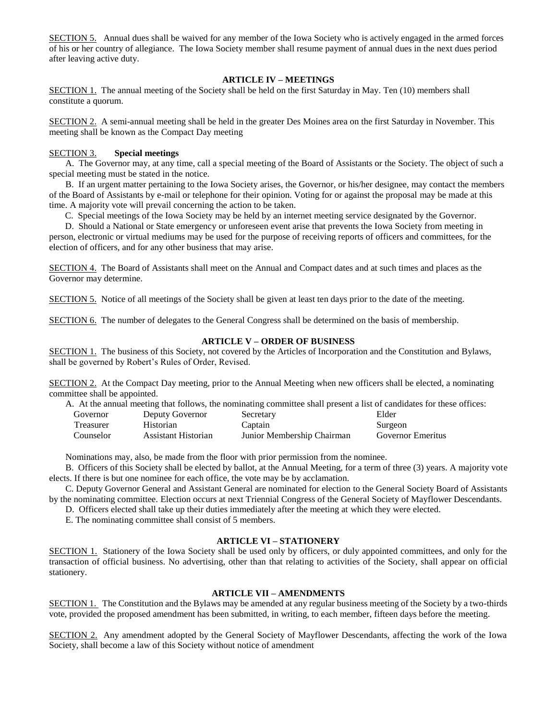SECTION 5. Annual dues shall be waived for any member of the Iowa Society who is actively engaged in the armed forces of his or her country of allegiance. The Iowa Society member shall resume payment of annual dues in the next dues period after leaving active duty.

# **ARTICLE IV – MEETINGS**

SECTION 1. The annual meeting of the Society shall be held on the first Saturday in May. Ten (10) members shall constitute a quorum.

SECTION 2. A semi-annual meeting shall be held in the greater Des Moines area on the first Saturday in November. This meeting shall be known as the Compact Day meeting

# SECTION 3. **Special meetings**

A. The Governor may, at any time, call a special meeting of the Board of Assistants or the Society. The object of such a special meeting must be stated in the notice.

B. If an urgent matter pertaining to the Iowa Society arises, the Governor, or his/her designee, may contact the members of the Board of Assistants by e-mail or telephone for their opinion. Voting for or against the proposal may be made at this time. A majority vote will prevail concerning the action to be taken.

C. Special meetings of the Iowa Society may be held by an internet meeting service designated by the Governor.

 D. Should a National or State emergency or unforeseen event arise that prevents the Iowa Society from meeting in person, electronic or virtual mediums may be used for the purpose of receiving reports of officers and committees, for the election of officers, and for any other business that may arise.

SECTION 4. The Board of Assistants shall meet on the Annual and Compact dates and at such times and places as the Governor may determine.

SECTION 5. Notice of all meetings of the Society shall be given at least ten days prior to the date of the meeting.

SECTION 6. The number of delegates to the General Congress shall be determined on the basis of membership.

# **ARTICLE V – ORDER OF BUSINESS**

SECTION 1. The business of this Society, not covered by the Articles of Incorporation and the Constitution and Bylaws, shall be governed by Robert's Rules of Order, Revised.

SECTION 2. At the Compact Day meeting, prior to the Annual Meeting when new officers shall be elected, a nominating committee shall be appointed.

|           |                     | A. At the annual meeting that follows, the nominating committee shall present a list of candidates for these offices: |                          |
|-----------|---------------------|-----------------------------------------------------------------------------------------------------------------------|--------------------------|
| Governor  | Deputy Governor     | Secretary                                                                                                             | Elder                    |
| Treasurer | <b>Historian</b>    | Captain                                                                                                               | Surgeon                  |
| Counselor | Assistant Historian | Junior Membership Chairman                                                                                            | <b>Governor Emeritus</b> |

Nominations may, also, be made from the floor with prior permission from the nominee.

B. Officers of this Society shall be elected by ballot, at the Annual Meeting, for a term of three (3) years. A majority vote elects. If there is but one nominee for each office, the vote may be by acclamation.

C. Deputy Governor General and Assistant General are nominated for election to the General Society Board of Assistants by the nominating committee. Election occurs at next Triennial Congress of the General Society of Mayflower Descendants.

D. Officers elected shall take up their duties immediately after the meeting at which they were elected.

E. The nominating committee shall consist of 5 members.

# **ARTICLE VI – STATIONERY**

SECTION 1. Stationery of the Iowa Society shall be used only by officers, or duly appointed committees, and only for the transaction of official business. No advertising, other than that relating to activities of the Society, shall appear on official stationery.

#### **ARTICLE VII – AMENDMENTS**

SECTION 1. The Constitution and the Bylaws may be amended at any regular business meeting of the Society by a two-thirds vote, provided the proposed amendment has been submitted, in writing, to each member, fifteen days before the meeting.

SECTION 2. Any amendment adopted by the General Society of Mayflower Descendants, affecting the work of the Iowa Society, shall become a law of this Society without notice of amendment